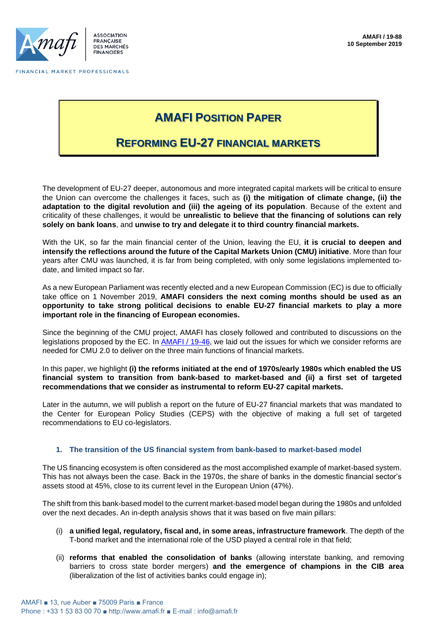

FINANCIAL MARKET PROFESSIONALS

# **AMAFI POSITION PAPER**

### **REFORMING EU-27 FINANCIAL MARKETS**

The development of EU-27 deeper, autonomous and more integrated capital markets will be critical to ensure the Union can overcome the challenges it faces, such as **(i) the mitigation of climate change, (ii) the adaptation to the digital revolution and (iii) the ageing of its population**. Because of the extent and criticality of these challenges, it would be **unrealistic to believe that the financing of solutions can rely solely on bank loans**, and **unwise to try and delegate it to third country financial markets.** 

With the UK, so far the main financial center of the Union, leaving the EU, **it is crucial to deepen and intensify the reflections around the future of the Capital Markets Union (CMU) initiative**. More than four years after CMU was launched, it is far from being completed, with only some legislations implemented todate, and limited impact so far.

As a new European Parliament was recently elected and a new European Commission (EC) is due to officially take office on 1 November 2019, **AMAFI considers the next coming months should be used as an opportunity to take strong political decisions to enable EU-27 financial markets to play a more important role in the financing of European economies.**

Since the beginning of the CMU project, AMAFI has closely followed and contributed to discussions on the legislations proposed by the EC. In [AMAFI / 19-46,](http://amafi.fr/download/pages/w94cZr9NHsyQwGL6OGzeNNURDS4QsDnLuARJtQe0.pdf) we laid out the issues for which we consider reforms are needed for CMU 2.0 to deliver on the three main functions of financial markets.

In this paper, we highlight **(i) the reforms initiated at the end of 1970s/early 1980s which enabled the US financial system to transition from bank-based to market-based and (ii) a first set of targeted recommendations that we consider as instrumental to reform EU-27 capital markets.**

Later in the autumn, we will publish a report on the future of EU-27 financial markets that was mandated to the Center for European Policy Studies (CEPS) with the objective of making a full set of targeted recommendations to EU co-legislators.

#### **1. The transition of the US financial system from bank-based to market-based model**

The US financing ecosystem is often considered as the most accomplished example of market-based system. This has not always been the case. Back in the 1970s, the share of banks in the domestic financial sector's assets stood at 45%, close to its current level in the European Union (47%).

The shift from this bank-based model to the current market-based model began during the 1980s and unfolded over the next decades. An in-depth analysis shows that it was based on five main pillars:

- (i) **a unified legal, regulatory, fiscal and, in some areas, infrastructure framework**. The depth of the T-bond market and the international role of the USD played a central role in that field;
- (ii) **reforms that enabled the consolidation of banks** (allowing interstate banking, and removing barriers to cross state border mergers) **and the emergence of champions in the CIB area** (liberalization of the list of activities banks could engage in);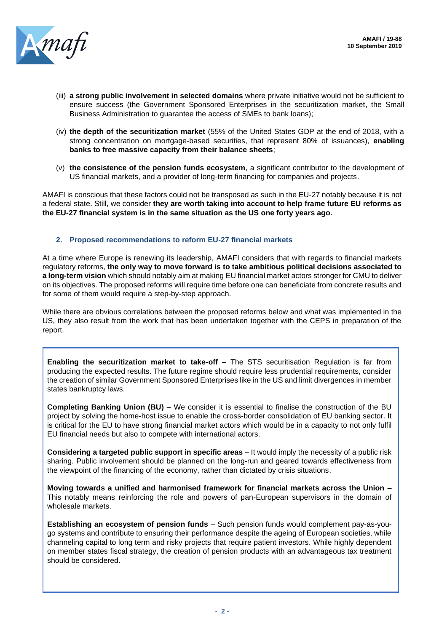

- (iii) **a strong public involvement in selected domains** where private initiative would not be sufficient to ensure success (the Government Sponsored Enterprises in the securitization market, the Small Business Administration to guarantee the access of SMEs to bank loans);
- (iv) **the depth of the securitization market** (55% of the United States GDP at the end of 2018, with a strong concentration on mortgage-based securities, that represent 80% of issuances), **enabling banks to free massive capacity from their balance sheets**;
- (v) **the consistence of the pension funds ecosystem**, a significant contributor to the development of US financial markets, and a provider of long-term financing for companies and projects.

AMAFI is conscious that these factors could not be transposed as such in the EU-27 notably because it is not a federal state. Still, we consider **they are worth taking into account to help frame future EU reforms as the EU-27 financial system is in the same situation as the US one forty years ago.**

#### **2. Proposed recommendations to reform EU-27 financial markets**

At a time where Europe is renewing its leadership, AMAFI considers that with regards to financial markets regulatory reforms, **the only way to move forward is to take ambitious political decisions associated to a long-term vision** which should notably aim at making EU financial market actors stronger for CMU to deliver on its objectives. The proposed reforms will require time before one can beneficiate from concrete results and for some of them would require a step-by-step approach.

While there are obvious correlations between the proposed reforms below and what was implemented in the US, they also result from the work that has been undertaken together with the CEPS in preparation of the report.

**Enabling the securitization market to take-off** – The STS securitisation Regulation is far from producing the expected results. The future regime should require less prudential requirements, consider the creation of similar Government Sponsored Enterprises like in the US and limit divergences in member states bankruptcy laws.

**Completing Banking Union (BU)** – We consider it is essential to finalise the construction of the BU project by solving the home-host issue to enable the cross-border consolidation of EU banking sector. It is critical for the EU to have strong financial market actors which would be in a capacity to not only fulfil EU financial needs but also to compete with international actors.

**Considering a targeted public support in specific areas** – It would imply the necessity of a public risk sharing. Public involvement should be planned on the long-run and geared towards effectiveness from the viewpoint of the financing of the economy, rather than dictated by crisis situations.

**Moving towards a unified and harmonised framework for financial markets across the Union –** This notably means reinforcing the role and powers of pan-European supervisors in the domain of wholesale markets.

**Establishing an ecosystem of pension funds** – Such pension funds would complement pay-as-yougo systems and contribute to ensuring their performance despite the ageing of European societies, while channeling capital to long term and risky projects that require patient investors. While highly dependent on member states fiscal strategy, the creation of pension products with an advantageous tax treatment should be considered.